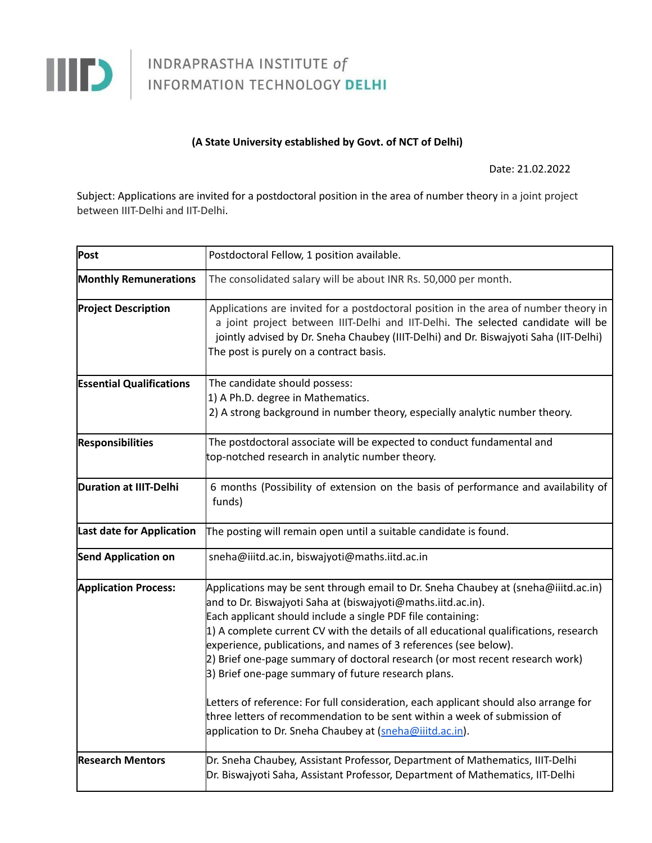

## INDRAPRASTHA INSTITUTE of

## **(A State University established by Govt. of NCT of Delhi)**

Date: 21.02.2022

Subject: Applications are invited for a postdoctoral position in the area of number theory in a joint project between IIIT-Delhi and IIT-Delhi.

| Post                            | Postdoctoral Fellow, 1 position available.                                                                                                                                                                                                                                                                                                                                                                                                                                                                                                                                                                                                                                                                                                                      |
|---------------------------------|-----------------------------------------------------------------------------------------------------------------------------------------------------------------------------------------------------------------------------------------------------------------------------------------------------------------------------------------------------------------------------------------------------------------------------------------------------------------------------------------------------------------------------------------------------------------------------------------------------------------------------------------------------------------------------------------------------------------------------------------------------------------|
| <b>Monthly Remunerations</b>    | The consolidated salary will be about INR Rs. 50,000 per month.                                                                                                                                                                                                                                                                                                                                                                                                                                                                                                                                                                                                                                                                                                 |
| <b>Project Description</b>      | Applications are invited for a postdoctoral position in the area of number theory in<br>a joint project between IIIT-Delhi and IIT-Delhi. The selected candidate will be<br>jointly advised by Dr. Sneha Chaubey (IIIT-Delhi) and Dr. Biswajyoti Saha (IIT-Delhi)<br>The post is purely on a contract basis.                                                                                                                                                                                                                                                                                                                                                                                                                                                    |
| <b>Essential Qualifications</b> | The candidate should possess:<br>1) A Ph.D. degree in Mathematics.<br>2) A strong background in number theory, especially analytic number theory.                                                                                                                                                                                                                                                                                                                                                                                                                                                                                                                                                                                                               |
| <b>Responsibilities</b>         | The postdoctoral associate will be expected to conduct fundamental and<br>top-notched research in analytic number theory.                                                                                                                                                                                                                                                                                                                                                                                                                                                                                                                                                                                                                                       |
| Duration at IIIT-Delhi          | 6 months (Possibility of extension on the basis of performance and availability of<br>funds)                                                                                                                                                                                                                                                                                                                                                                                                                                                                                                                                                                                                                                                                    |
| Last date for Application       | The posting will remain open until a suitable candidate is found.                                                                                                                                                                                                                                                                                                                                                                                                                                                                                                                                                                                                                                                                                               |
| <b>Send Application on</b>      | sneha@iiitd.ac.in, biswajyoti@maths.iitd.ac.in                                                                                                                                                                                                                                                                                                                                                                                                                                                                                                                                                                                                                                                                                                                  |
| <b>Application Process:</b>     | Applications may be sent through email to Dr. Sneha Chaubey at (sneha@iiitd.ac.in)<br>and to Dr. Biswajyoti Saha at (biswajyoti@maths.iitd.ac.in).<br>Each applicant should include a single PDF file containing:<br>$\vert$ 1) A complete current CV with the details of all educational qualifications, research<br>experience, publications, and names of 3 references (see below).<br>2) Brief one-page summary of doctoral research (or most recent research work)<br>3) Brief one-page summary of future research plans.<br>Letters of reference: For full consideration, each applicant should also arrange for<br>three letters of recommendation to be sent within a week of submission of<br>application to Dr. Sneha Chaubey at (sneha@iiitd.ac.in). |
| <b>Research Mentors</b>         | Dr. Sneha Chaubey, Assistant Professor, Department of Mathematics, IIIT-Delhi<br>Dr. Biswajyoti Saha, Assistant Professor, Department of Mathematics, IIT-Delhi                                                                                                                                                                                                                                                                                                                                                                                                                                                                                                                                                                                                 |